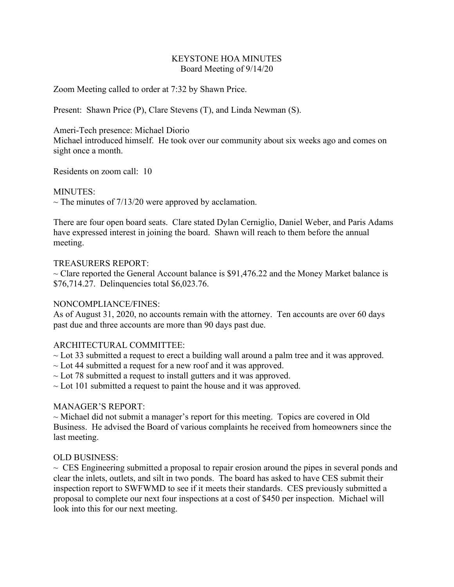#### KEYSTONE HOA MINUTES Board Meeting of 9/14/20

Zoom Meeting called to order at 7:32 by Shawn Price.

Present: Shawn Price (P), Clare Stevens (T), and Linda Newman (S).

#### Ameri-Tech presence: Michael Diorio

Michael introduced himself. He took over our community about six weeks ago and comes on sight once a month.

Residents on zoom call: 10

### MINUTES:

 $\sim$  The minutes of 7/13/20 were approved by acclamation.

There are four open board seats. Clare stated Dylan Cerniglio, Daniel Weber, and Paris Adams have expressed interest in joining the board. Shawn will reach to them before the annual meeting.

### TREASURERS REPORT:

 $\sim$  Clare reported the General Account balance is \$91,476.22 and the Money Market balance is \$76,714.27. Delinquencies total \$6,023.76.

# NONCOMPLIANCE/FINES:

As of August 31, 2020, no accounts remain with the attorney. Ten accounts are over 60 days past due and three accounts are more than 90 days past due.

# ARCHITECTURAL COMMITTEE:

 $\sim$  Lot 33 submitted a request to erect a building wall around a palm tree and it was approved.

- $\sim$  Lot 44 submitted a request for a new roof and it was approved.
- $\sim$  Lot 78 submitted a request to install gutters and it was approved.
- $\sim$  Lot 101 submitted a request to paint the house and it was approved.

# MANAGER'S REPORT:

 $\sim$  Michael did not submit a manager's report for this meeting. Topics are covered in Old Business. He advised the Board of various complaints he received from homeowners since the last meeting.

# OLD BUSINESS:

 $\sim$  CES Engineering submitted a proposal to repair erosion around the pipes in several ponds and clear the inlets, outlets, and silt in two ponds. The board has asked to have CES submit their inspection report to SWFWMD to see if it meets their standards. CES previously submitted a proposal to complete our next four inspections at a cost of \$450 per inspection. Michael will look into this for our next meeting.